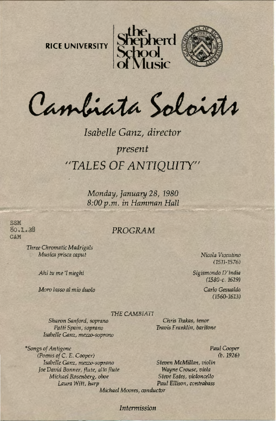



Cambiata Soloists

# *Isabelle Ganz, director present*  **"TALES OF ANTIQUITY"**

*Monday, January 28, 1980 8:00p.m. in Hamman Hall* 

SSM 80.1.28 CAM

> *Three Chromatic Madrigals*  M *usica pri5CI1 caput Nicola Vicentino*

*Ahi* h1 *me* 'I *nieghi* 

*Moro lasso a/ m io duo/a* 

## PROGRAM

 $(1511 - 1576)$ 

Sigismondo D'India (1580-c. 1629)

> *Carlo Gesualdo (1560-1613)*

#### *THE CAMBlATI*

*Sharon Sanford, soprano Patti Spain, soprano Isabelle* Ganz, *mezzo-soprano* 

*\*Sotrgs of An rigone Paul Cooper (Poems of C. E. Cooper) Isabelle Garrz, mezzo-soprano Steven McMillan, violin foe David Bonner, flute, alto flute Wayne Crouse, viola Michael Rosenberg, oboe Laura Witt, harp Paul Ellison, contrabass Michael Moores, conductor* 

*Chris Trakas, tenor Travis Franklin, baritone* 

*Intermission*